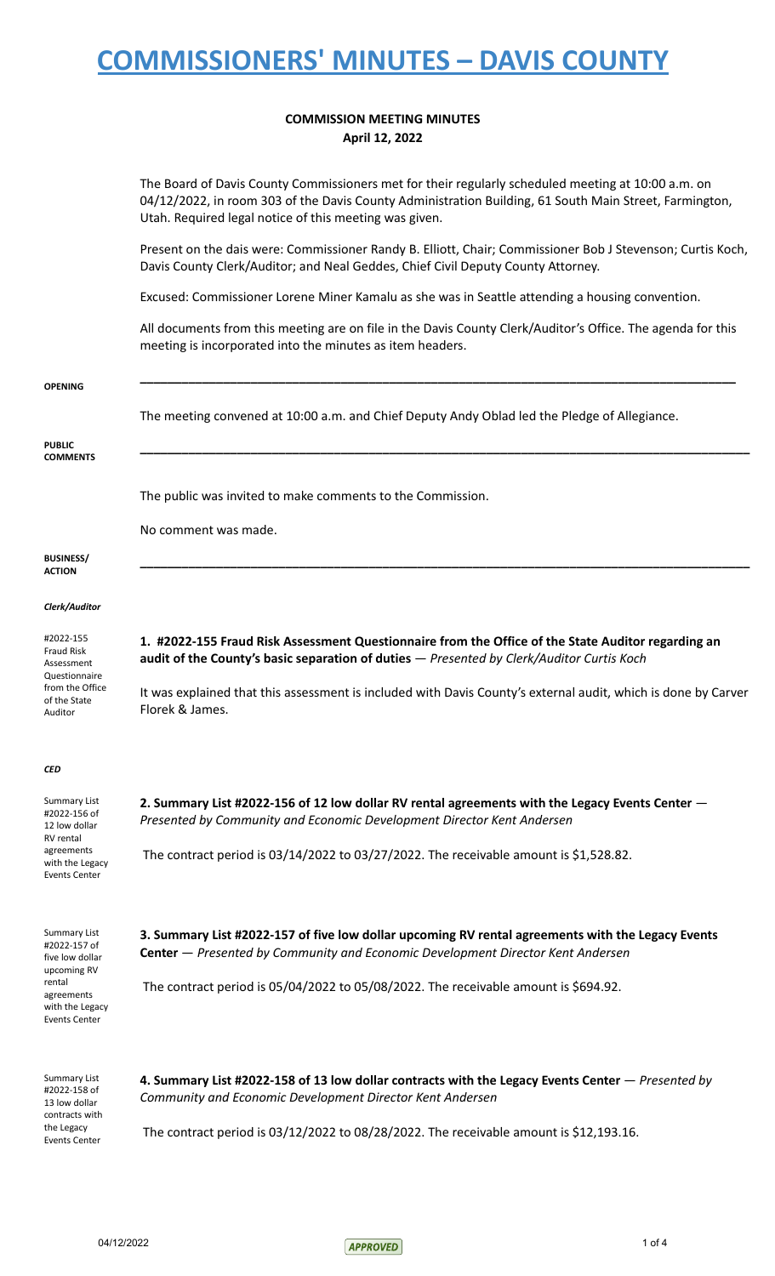### **COMMISSION MEETING MINUTES April 12, 2022**

The Board of Davis County Commissioners met for their regularly scheduled meeting at 10:00 a.m. on 04/12/2022, in room 303 of the Davis County Administration Building, 61 South Main Street, Farmington, Utah. Required legal notice of this meeting was given.

Present on the dais were: Commissioner Randy B. Elliott, Chair; Commissioner Bob J Stevenson; Curtis Koch, Davis County Clerk/Auditor; and Neal Geddes, Chief Civil Deputy County Attorney.

Excused: Commissioner Lorene Miner Kamalu as she was in Seattle attending a housing convention.

All documents from this meeting are on file in the Davis County Clerk/Auditor's Office. The agenda for this meeting is incorporated into the minutes as item headers.

| <b>OPENING</b>                                                           | The meeting convened at 10:00 a.m. and Chief Deputy Andy Oblad led the Pledge of Allegiance.                                                                                                    |
|--------------------------------------------------------------------------|-------------------------------------------------------------------------------------------------------------------------------------------------------------------------------------------------|
| <b>PUBLIC</b><br><b>COMMENTS</b>                                         |                                                                                                                                                                                                 |
|                                                                          | The public was invited to make comments to the Commission.                                                                                                                                      |
|                                                                          | No comment was made.                                                                                                                                                                            |
| <b>BUSINESS/</b><br><b>ACTION</b>                                        |                                                                                                                                                                                                 |
| Clerk/Auditor                                                            |                                                                                                                                                                                                 |
| #2022-155<br><b>Fraud Risk</b><br>Assessment<br>Questionnaire            | 1. #2022-155 Fraud Risk Assessment Questionnaire from the Office of the State Auditor regarding an<br>audit of the County's basic separation of duties - Presented by Clerk/Auditor Curtis Koch |
| from the Office<br>of the State<br>Auditor                               | It was explained that this assessment is included with Davis County's external audit, which is done by Carver<br>Florek & James.                                                                |
| <b>CED</b>                                                               |                                                                                                                                                                                                 |
| <b>Summary List</b><br>#2022-156 of<br>12 low dollar<br><b>RV</b> rental | 2. Summary List #2022-156 of 12 low dollar RV rental agreements with the Legacy Events Center -<br>Presented by Community and Economic Development Director Kent Andersen                       |
| agreements<br>with the Legacy<br><b>Events Center</b>                    | The contract period is $03/14/2022$ to $03/27/2022$ . The receivable amount is \$1,528.82.                                                                                                      |
| <b>Summary List</b><br>#2022-157 of<br>five low dollar<br>upcoming RV    | 3. Summary List #2022-157 of five low dollar upcoming RV rental agreements with the Legacy Events<br>Center - Presented by Community and Economic Development Director Kent Andersen            |
| rental<br>agreements<br>with the Legacy<br>Events Center                 | The contract period is 05/04/2022 to 05/08/2022. The receivable amount is \$694.92.                                                                                                             |
|                                                                          |                                                                                                                                                                                                 |

**4. Summary List #2022-158 of 13 low dollar contracts with the Legacy Events Center** — *Presented by Community and Economic Development Director Kent Andersen*

The contract period is 03/12/2022 to 08/28/2022. The receivable amount is \$12,193.16.

Summary List #2022-158 of 13 low dollar contracts with the Legacy Events Center

04/12/2022 1 of 4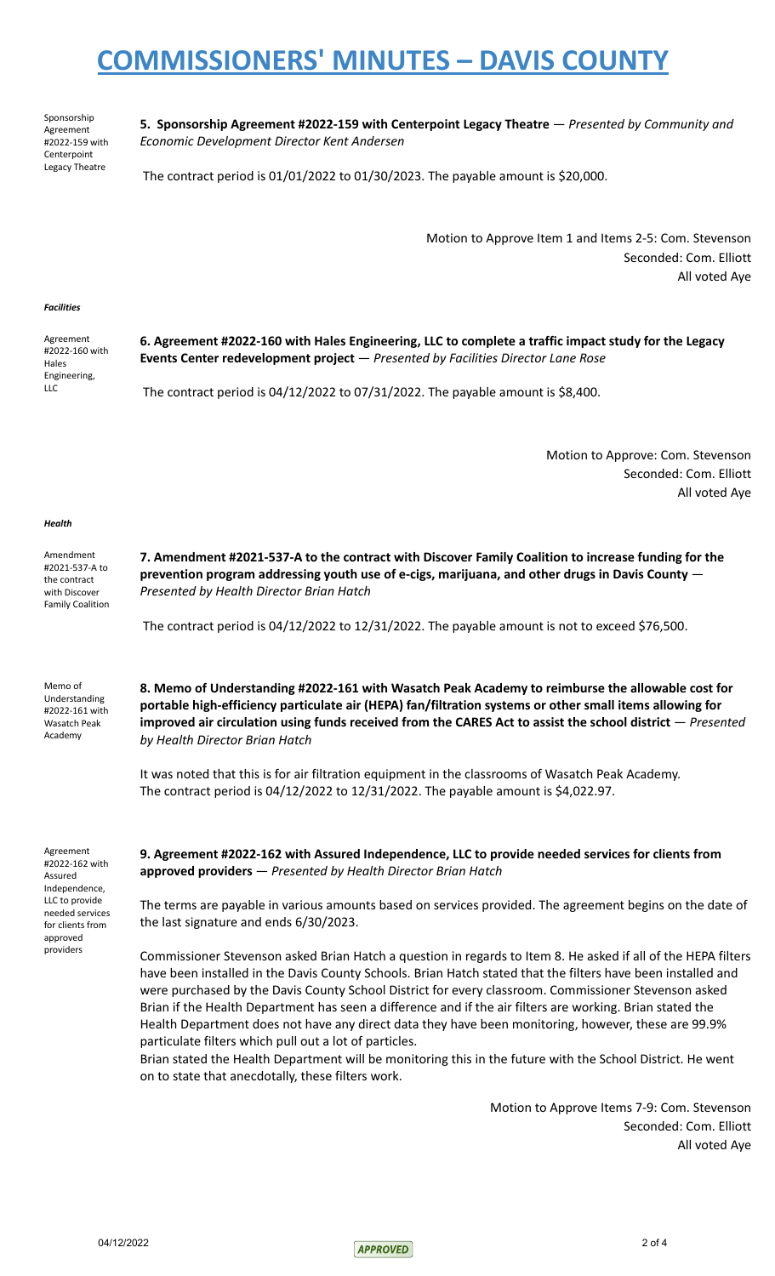Sponsorship Agreement #2022-159 with **Centerpoint** Legacy Theatre

**5. Sponsorship Agreement #2022-159 with Centerpoint Legacy Theatre** — *Presented by Community and Economic Development Director Kent Andersen*

The contract period is 01/01/2022 to 01/30/2023. The payable amount is \$20,000.

Motion to Approve Item 1 and Items 2-5: Com. Stevenson Seconded: Com. Elliott All voted Aye

#### *Facilities*

Agreement #2022-160 with Hales Engineering, LLC

**6. Agreement #2022-160 with Hales Engineering, LLC to complete a traffic impact study for the Legacy Events Center redevelopment project** — *Presented by Facilities Director Lane Rose*

The contract period is 04/12/2022 to 07/31/2022. The payable amount is \$8,400.

Motion to Approve: Com. Stevenson Seconded: Com. Elliott All voted Aye

#### *Health*

| Amendment<br>#2021-537-A to<br>the contract<br>with Discover<br><b>Family Coalition</b> | 7. Amendment #2021-537-A to the contract with Discover Family Coalition to increase funding for the<br>prevention program addressing youth use of e-cigs, marijuana, and other drugs in Davis County $-$<br>Presented by Health Director Brian Hatch |
|-----------------------------------------------------------------------------------------|------------------------------------------------------------------------------------------------------------------------------------------------------------------------------------------------------------------------------------------------------|
|                                                                                         | The contract period is $04/12/2022$ to $12/31/2022$ . The payable amount is not to exceed \$76,500.                                                                                                                                                  |

Memo of Understanding #2022-161 with Wasatch Peak Academy

**8. Memo of Understanding #2022-161 with Wasatch Peak Academy to reimburse the allowable cost for portable high-efficiency particulate air (HEPA) fan/filtration systems or other small items allowing for improved air circulation using funds received from the CARES Act to assist the school district** — *Presented by Health Director Brian Hatch*

It was noted that this is for air filtration equipment in the classrooms of Wasatch Peak Academy. The contract period is 04/12/2022 to 12/31/2022. The payable amount is \$4,022.97.

Agreement #2022-162 with Assured Independence, LLC to provide needed services for clients from approved providers

**9. Agreement #2022-162 with Assured Independence, LLC to provide needed services for clients from approved providers** — *Presented by Health Director Brian Hatch*

The terms are payable in various amounts based on services provided. The agreement begins on the date of the last signature and ends 6/30/2023.

Commissioner Stevenson asked Brian Hatch a question in regards to Item 8. He asked if all of the HEPA filters have been installed in the Davis County Schools. Brian Hatch stated that the filters have been installed and were purchased by the Davis County School District for every classroom. Commissioner Stevenson asked Brian if the Health Department has seen a difference and if the air filters are working. Brian stated the Health Department does not have any direct data they have been monitoring, however, these are 99.9% particulate filters which pull out a lot of particles.

Brian stated the Health Department will be monitoring this in the future with the School District. He went on to state that anecdotally, these filters work.

> Motion to Approve Items 7-9: Com. Stevenson Seconded: Com. Elliott All voted Aye

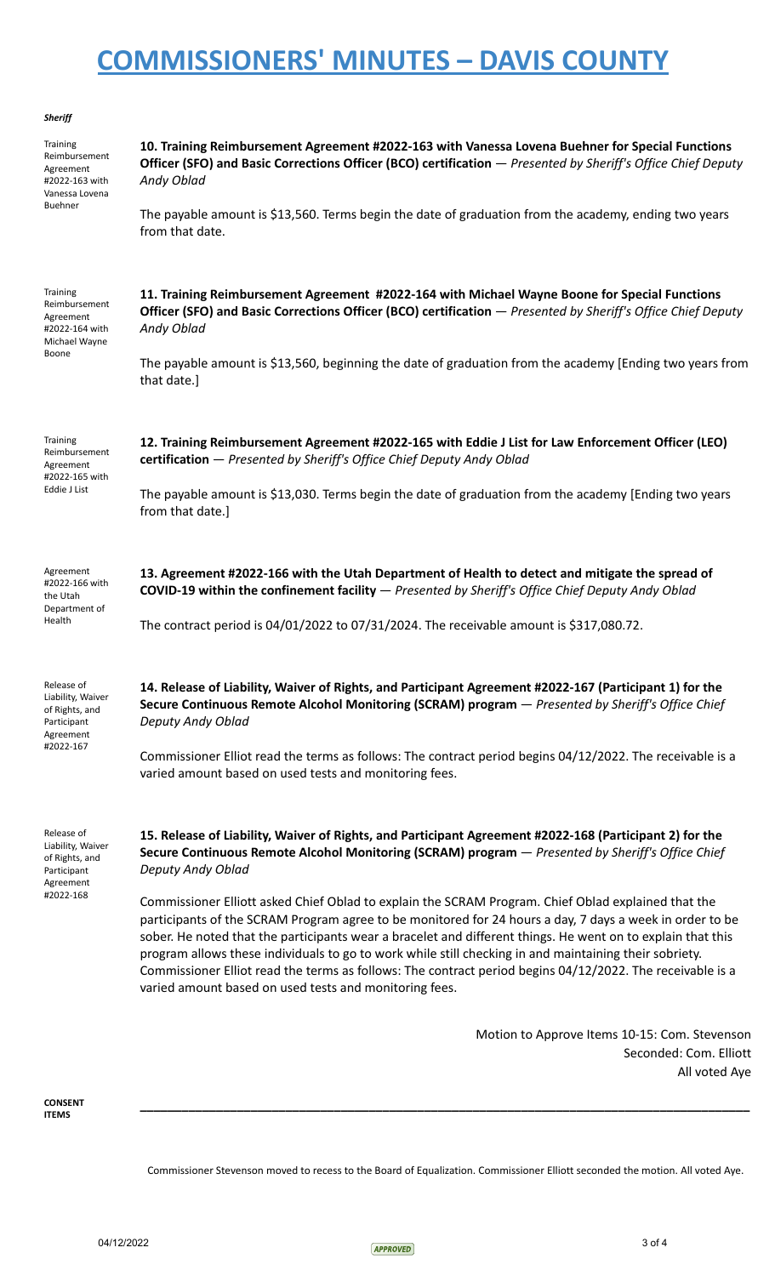| Sheriff                                                                                      |                                                                                                                                                                                                                                                                                                                                                                                                                                                                                                                                                                                                                 |
|----------------------------------------------------------------------------------------------|-----------------------------------------------------------------------------------------------------------------------------------------------------------------------------------------------------------------------------------------------------------------------------------------------------------------------------------------------------------------------------------------------------------------------------------------------------------------------------------------------------------------------------------------------------------------------------------------------------------------|
| Training<br>Reimbursement<br>Agreement<br>#2022-163 with<br>Vanessa Lovena<br><b>Buehner</b> | 10. Training Reimbursement Agreement #2022-163 with Vanessa Lovena Buehner for Special Functions<br>Officer (SFO) and Basic Corrections Officer (BCO) certification - Presented by Sheriff's Office Chief Deputy<br>Andy Oblad                                                                                                                                                                                                                                                                                                                                                                                  |
|                                                                                              | The payable amount is \$13,560. Terms begin the date of graduation from the academy, ending two years<br>from that date.                                                                                                                                                                                                                                                                                                                                                                                                                                                                                        |
| <b>Training</b><br>Reimbursement<br>Agreement<br>#2022-164 with<br>Michael Wayne<br>Boone    | 11. Training Reimbursement Agreement #2022-164 with Michael Wayne Boone for Special Functions<br>Officer (SFO) and Basic Corrections Officer (BCO) certification - Presented by Sheriff's Office Chief Deputy<br>Andy Oblad                                                                                                                                                                                                                                                                                                                                                                                     |
|                                                                                              | The payable amount is \$13,560, beginning the date of graduation from the academy [Ending two years from<br>that date.]                                                                                                                                                                                                                                                                                                                                                                                                                                                                                         |
| Training<br>Reimbursement<br>Agreement<br>#2022-165 with<br>Eddie J List                     | 12. Training Reimbursement Agreement #2022-165 with Eddie J List for Law Enforcement Officer (LEO)<br>certification - Presented by Sheriff's Office Chief Deputy Andy Oblad                                                                                                                                                                                                                                                                                                                                                                                                                                     |
|                                                                                              | The payable amount is \$13,030. Terms begin the date of graduation from the academy [Ending two years<br>from that date.]                                                                                                                                                                                                                                                                                                                                                                                                                                                                                       |
| Agreement<br>#2022-166 with<br>the Utah<br>Department of                                     | 13. Agreement #2022-166 with the Utah Department of Health to detect and mitigate the spread of<br>COVID-19 within the confinement facility - Presented by Sheriff's Office Chief Deputy Andy Oblad                                                                                                                                                                                                                                                                                                                                                                                                             |
| Health                                                                                       | The contract period is 04/01/2022 to 07/31/2024. The receivable amount is \$317,080.72.                                                                                                                                                                                                                                                                                                                                                                                                                                                                                                                         |
| Release of<br>Liability, Waiver<br>of Rights, and<br>Participant<br>Agreement<br>#2022-167   | 14. Release of Liability, Waiver of Rights, and Participant Agreement #2022-167 (Participant 1) for the<br>Secure Continuous Remote Alcohol Monitoring (SCRAM) program - Presented by Sheriff's Office Chief<br>Deputy Andy Oblad                                                                                                                                                                                                                                                                                                                                                                               |
|                                                                                              | Commissioner Elliot read the terms as follows: The contract period begins 04/12/2022. The receivable is a<br>varied amount based on used tests and monitoring fees.                                                                                                                                                                                                                                                                                                                                                                                                                                             |
| Release of<br>Liability, Waiver<br>of Rights, and<br>Participant<br>Agreement<br>#2022-168   | 15. Release of Liability, Waiver of Rights, and Participant Agreement #2022-168 (Participant 2) for the<br>Secure Continuous Remote Alcohol Monitoring (SCRAM) program - Presented by Sheriff's Office Chief<br>Deputy Andy Oblad                                                                                                                                                                                                                                                                                                                                                                               |
|                                                                                              | Commissioner Elliott asked Chief Oblad to explain the SCRAM Program. Chief Oblad explained that the<br>participants of the SCRAM Program agree to be monitored for 24 hours a day, 7 days a week in order to be<br>sober. He noted that the participants wear a bracelet and different things. He went on to explain that this<br>program allows these individuals to go to work while still checking in and maintaining their sobriety.<br>Commissioner Elliot read the terms as follows: The contract period begins 04/12/2022. The receivable is a<br>varied amount based on used tests and monitoring fees. |
|                                                                                              | Motion to Approve Items 10-15: Com. Stevenson<br>Seconded: Com. Elliott<br>All voted Aye                                                                                                                                                                                                                                                                                                                                                                                                                                                                                                                        |
| <b>CONSENT</b>                                                                               |                                                                                                                                                                                                                                                                                                                                                                                                                                                                                                                                                                                                                 |

**ITEMS**

Commissioner Stevenson moved to recess to the Board of Equalization. Commissioner Elliott seconded the motion. All voted Aye.